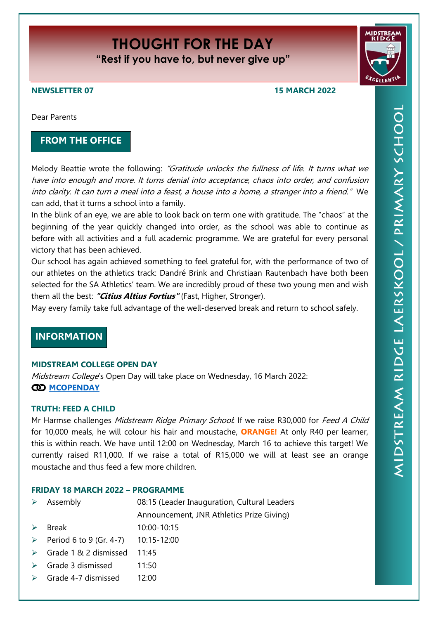# **THOUGHT FOR THE DAY "Rest if you have to, but never give up"**



# **NEWSLETTER 07 15 MARCH 2022**

Dear Parents

# **FROM THE OFFICE**

Melody Beattie wrote the following: "Gratitude unlocks the fullness of life. It turns what we have into enough and more. It turns denial into acceptance, chaos into order, and confusion into clarity. It can turn a meal into a feast, a house into a home, a stranger into a friend." We can add, that it turns a school into a family.

In the blink of an eye, we are able to look back on term one with gratitude. The "chaos" at the beginning of the year quickly changed into order, as the school was able to continue as before with all activities and a full academic programme. We are grateful for every personal victory that has been achieved.

Our school has again achieved something to feel grateful for, with the performance of two of our athletes on the athletics track: Dandré Brink and Christiaan Rautenbach have both been selected for the SA Athletics' team. We are incredibly proud of these two young men and wish them all the best: **"Citius Altius Fortius"** (Fast, Higher, Stronger).

May every family take full advantage of the well-deserved break and return to school safely.

# **INFORMATION**

# **MIDSTREAM COLLEGE OPEN DAY**

Midstream College's Open Day will take place on Wednesday, 16 March 2022: **CO** [MCOPENDAY](https://midstreamridgeprimary.co.za/wp-content/uploads/2022/03/MCOPENDAY.pdf)

# **TRUTH: FEED A CHILD**

Mr Harmse challenges Midstream Ridge Primary School: If we raise R30,000 for Feed A Child for 10,000 meals, he will colour his hair and moustache, **ORANGE!** At only R40 per learner, this is within reach. We have until 12:00 on Wednesday, March 16 to achieve this target! We currently raised R11,000. If we raise a total of R15,000 we will at least see an orange moustache and thus feed a few more children.

# **FRIDAY 18 MARCH 2022 – PROGRAMME**

| $\rightarrow$ | Assembly                | 08:15 (Leader Inauguration, Cultural Leaders |
|---------------|-------------------------|----------------------------------------------|
|               |                         | Announcement, JNR Athletics Prize Giving)    |
|               | <b>Break</b>            | 10:00-10:15                                  |
|               | Period 6 to 9 (Gr. 4-7) | 10:15-12:00                                  |
|               | Grade 1 & 2 dismissed   | 11:45                                        |
|               | Grade 3 dismissed       | 11:50                                        |
|               | Grade 4-7 dismissed     | 12:00                                        |
|               |                         |                                              |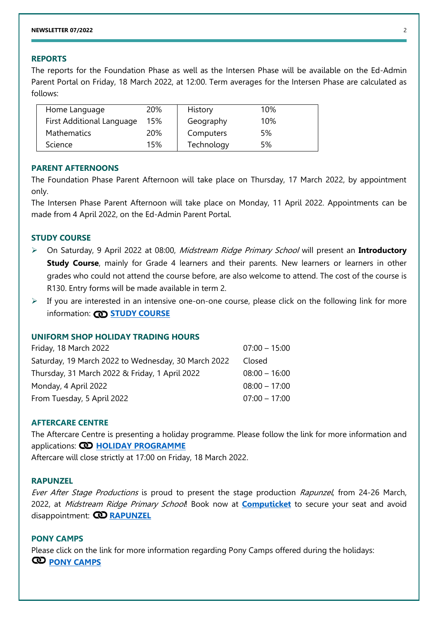# **REPORTS**

The reports for the Foundation Phase as well as the Intersen Phase will be available on the Ed-Admin Parent Portal on Friday, 18 March 2022, at 12:00. Term averages for the Intersen Phase are calculated as follows:

| Home Language             | 20% | History    | 10% |
|---------------------------|-----|------------|-----|
| First Additional Language | 15% | Geography  | 10% |
| <b>Mathematics</b>        | 20% | Computers  | 5%  |
| Science                   | 15% | Technology | 5%  |

# **PARENT AFTERNOONS**

The Foundation Phase Parent Afternoon will take place on Thursday, 17 March 2022, by appointment only.

The Intersen Phase Parent Afternoon will take place on Monday, 11 April 2022. Appointments can be made from 4 April 2022, on the Ed-Admin Parent Portal.

# **STUDY COURSE**

- On Saturday, 9 April 2022 at 08:00, Midstream Ridge Primary School will present an **Introductory Study Course**, mainly for Grade 4 learners and their parents. New learners or learners in other grades who could not attend the course before, are also welcome to attend. The cost of the course is R130. Entry forms will be made available in term 2.
- $\triangleright$  If you are interested in an intensive one-on-one course, please click on the following link for more information: **CD [STUDY COURSE](https://midstreamridgeprimary.co.za/wp-content/uploads/2022/03/Email-from-school-to-Parents.-March-2022-1.pdf)**

# **UNIFORM SHOP HOLIDAY TRADING HOURS**

| Friday, 18 March 2022                               | $07:00 - 15:00$ |
|-----------------------------------------------------|-----------------|
| Saturday, 19 March 2022 to Wednesday, 30 March 2022 | Closed          |
| Thursday, 31 March 2022 & Friday, 1 April 2022      | $08:00 - 16:00$ |
| Monday, 4 April 2022                                | $08:00 - 17:00$ |
| From Tuesday, 5 April 2022                          | $07:00 - 17:00$ |
|                                                     |                 |

# **AFTERCARE CENTRE**

The Aftercare Centre is presenting a holiday programme. Please follow the link for more information and applications: **CO [HOLIDAY PROGRAMME](https://midstreamridgeprimary.co.za/wp-content/uploads/2022/03/2022AftercareHolidayProgrammeMar.pdf)** 

Aftercare will close strictly at 17:00 on Friday, 18 March 2022.

#### **RAPUNZEL**

Ever After Stage Productions is proud to present the stage production Rapunzel, from 24-26 March, 2022, at Midstream Ridge Primary School! Book now at **[Computicket](https://tickets.computicket.com/event/rapunzel/6726245)** to secure your seat and avoid disappointment: **[RAPUNZEL](https://midstreamridgeprimary.co.za/wp-content/uploads/2022/03/mrp2022Nuusbrief06Rapunzel.pdf)**

## **PONY CAMPS**

Please click on the link for more information regarding Pony Camps offered during the holidays: **[PONY CAMPS](https://midstreamridgeprimary.co.za/wp-content/uploads/2022/03/March-April-Pony-Camp-2022.pdf)**